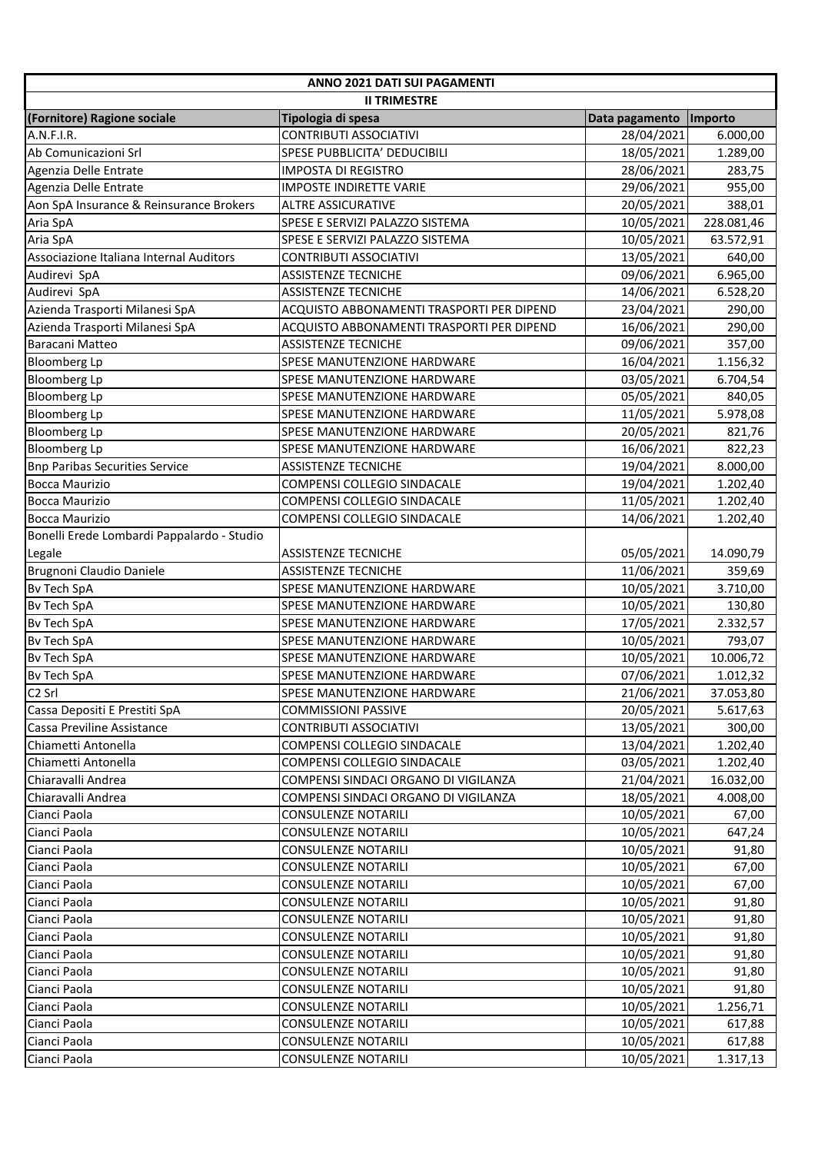| ANNO 2021 DATI SUI PAGAMENTI               |                                           |                |            |  |  |  |
|--------------------------------------------|-------------------------------------------|----------------|------------|--|--|--|
| <b>II TRIMESTRE</b>                        |                                           |                |            |  |  |  |
| (Fornitore) Ragione sociale                | Tipologia di spesa                        | Data pagamento | Importo    |  |  |  |
| A.N.F.I.R.                                 | <b>CONTRIBUTI ASSOCIATIVI</b>             | 28/04/2021     | 6.000,00   |  |  |  |
| Ab Comunicazioni Srl                       | SPESE PUBBLICITA' DEDUCIBILI              | 18/05/2021     | 1.289,00   |  |  |  |
| Agenzia Delle Entrate                      | <b>IMPOSTA DI REGISTRO</b>                | 28/06/2021     | 283,75     |  |  |  |
| Agenzia Delle Entrate                      | <b>IMPOSTE INDIRETTE VARIE</b>            | 29/06/2021     | 955,00     |  |  |  |
| Aon SpA Insurance & Reinsurance Brokers    | <b>ALTRE ASSICURATIVE</b>                 | 20/05/2021     | 388,01     |  |  |  |
| Aria SpA                                   | SPESE E SERVIZI PALAZZO SISTEMA           | 10/05/2021     | 228.081,46 |  |  |  |
| Aria SpA                                   | SPESE E SERVIZI PALAZZO SISTEMA           | 10/05/2021     | 63.572,91  |  |  |  |
| Associazione Italiana Internal Auditors    | <b>CONTRIBUTI ASSOCIATIVI</b>             | 13/05/2021     | 640,00     |  |  |  |
| Audirevi SpA                               | <b>ASSISTENZE TECNICHE</b>                | 09/06/2021     | 6.965,00   |  |  |  |
| Audirevi SpA                               | <b>ASSISTENZE TECNICHE</b>                | 14/06/2021     | 6.528,20   |  |  |  |
| Azienda Trasporti Milanesi SpA             | ACQUISTO ABBONAMENTI TRASPORTI PER DIPEND | 23/04/2021     | 290,00     |  |  |  |
| Azienda Trasporti Milanesi SpA             | ACQUISTO ABBONAMENTI TRASPORTI PER DIPEND | 16/06/2021     | 290,00     |  |  |  |
| Baracani Matteo                            | <b>ASSISTENZE TECNICHE</b>                | 09/06/2021     | 357,00     |  |  |  |
| <b>Bloomberg Lp</b>                        | SPESE MANUTENZIONE HARDWARE               | 16/04/2021     | 1.156,32   |  |  |  |
| <b>Bloomberg Lp</b>                        | <b>SPESE MANUTENZIONE HARDWARE</b>        | 03/05/2021     | 6.704,54   |  |  |  |
| <b>Bloomberg Lp</b>                        | <b>SPESE MANUTENZIONE HARDWARE</b>        | 05/05/2021     | 840,05     |  |  |  |
| <b>Bloomberg Lp</b>                        | SPESE MANUTENZIONE HARDWARE               | 11/05/2021     | 5.978,08   |  |  |  |
| <b>Bloomberg Lp</b>                        | SPESE MANUTENZIONE HARDWARE               | 20/05/2021     | 821,76     |  |  |  |
| <b>Bloomberg Lp</b>                        | SPESE MANUTENZIONE HARDWARE               | 16/06/2021     | 822,23     |  |  |  |
| <b>Bnp Paribas Securities Service</b>      | <b>ASSISTENZE TECNICHE</b>                | 19/04/2021     | 8.000,00   |  |  |  |
| <b>Bocca Maurizio</b>                      | COMPENSI COLLEGIO SINDACALE               | 19/04/2021     | 1.202,40   |  |  |  |
| <b>Bocca Maurizio</b>                      | COMPENSI COLLEGIO SINDACALE               | 11/05/2021     | 1.202,40   |  |  |  |
| <b>Bocca Maurizio</b>                      | COMPENSI COLLEGIO SINDACALE               | 14/06/2021     | 1.202,40   |  |  |  |
| Bonelli Erede Lombardi Pappalardo - Studio |                                           |                |            |  |  |  |
| Legale                                     | <b>ASSISTENZE TECNICHE</b>                | 05/05/2021     | 14.090,79  |  |  |  |
| Brugnoni Claudio Daniele                   | <b>ASSISTENZE TECNICHE</b>                | 11/06/2021     | 359,69     |  |  |  |
| <b>Bv Tech SpA</b>                         | SPESE MANUTENZIONE HARDWARE               | 10/05/2021     | 3.710,00   |  |  |  |
| <b>Bv Tech SpA</b>                         | SPESE MANUTENZIONE HARDWARE               | 10/05/2021     | 130,80     |  |  |  |
| <b>Bv Tech SpA</b>                         | SPESE MANUTENZIONE HARDWARE               | 17/05/2021     | 2.332,57   |  |  |  |
| <b>Bv Tech SpA</b>                         | SPESE MANUTENZIONE HARDWARE               | 10/05/2021     | 793,07     |  |  |  |
| <b>By Tech SpA</b>                         | <b>SPESE MANUTENZIONE HARDWARE</b>        | 10/05/2021     | 10.006,72  |  |  |  |
| <b>By Tech SpA</b>                         | <b>SPESE MANUTENZIONE HARDWARE</b>        | 07/06/2021     | 1.012,32   |  |  |  |
| C <sub>2</sub> Srl                         | SPESE MANUTENZIONE HARDWARE               | 21/06/2021     | 37.053,80  |  |  |  |
| Cassa Depositi E Prestiti SpA              | <b>COMMISSIONI PASSIVE</b>                | 20/05/2021     | 5.617,63   |  |  |  |
| Cassa Previline Assistance                 | CONTRIBUTI ASSOCIATIVI                    | 13/05/2021     | 300,00     |  |  |  |
| Chiametti Antonella                        | <b>COMPENSI COLLEGIO SINDACALE</b>        | 13/04/2021     | 1.202,40   |  |  |  |
| Chiametti Antonella                        | COMPENSI COLLEGIO SINDACALE               | 03/05/2021     | 1.202,40   |  |  |  |
| Chiaravalli Andrea                         | COMPENSI SINDACI ORGANO DI VIGILANZA      | 21/04/2021     | 16.032,00  |  |  |  |
| Chiaravalli Andrea                         | COMPENSI SINDACI ORGANO DI VIGILANZA      | 18/05/2021     | 4.008,00   |  |  |  |
| Cianci Paola                               | <b>CONSULENZE NOTARILI</b>                | 10/05/2021     | 67,00      |  |  |  |
| Cianci Paola                               | <b>CONSULENZE NOTARILI</b>                | 10/05/2021     | 647,24     |  |  |  |
| Cianci Paola                               | <b>CONSULENZE NOTARILI</b>                | 10/05/2021     | 91,80      |  |  |  |
| Cianci Paola                               | <b>CONSULENZE NOTARILI</b>                | 10/05/2021     | 67,00      |  |  |  |
| Cianci Paola                               | <b>CONSULENZE NOTARILI</b>                | 10/05/2021     | 67,00      |  |  |  |
| Cianci Paola                               | <b>CONSULENZE NOTARILI</b>                | 10/05/2021     | 91,80      |  |  |  |
| Cianci Paola                               | CONSULENZE NOTARILI                       | 10/05/2021     | 91,80      |  |  |  |
| Cianci Paola                               | <b>CONSULENZE NOTARILI</b>                | 10/05/2021     | 91,80      |  |  |  |
| Cianci Paola                               | <b>CONSULENZE NOTARILI</b>                | 10/05/2021     | 91,80      |  |  |  |
| Cianci Paola                               | <b>CONSULENZE NOTARILI</b>                | 10/05/2021     | 91,80      |  |  |  |
| Cianci Paola                               | <b>CONSULENZE NOTARILI</b>                | 10/05/2021     | 91,80      |  |  |  |
| Cianci Paola                               | <b>CONSULENZE NOTARILI</b>                | 10/05/2021     | 1.256,71   |  |  |  |
| Cianci Paola                               | <b>CONSULENZE NOTARILI</b>                | 10/05/2021     | 617,88     |  |  |  |
| Cianci Paola                               | <b>CONSULENZE NOTARILI</b>                | 10/05/2021     | 617,88     |  |  |  |
| Cianci Paola                               | <b>CONSULENZE NOTARILI</b>                | 10/05/2021     | 1.317,13   |  |  |  |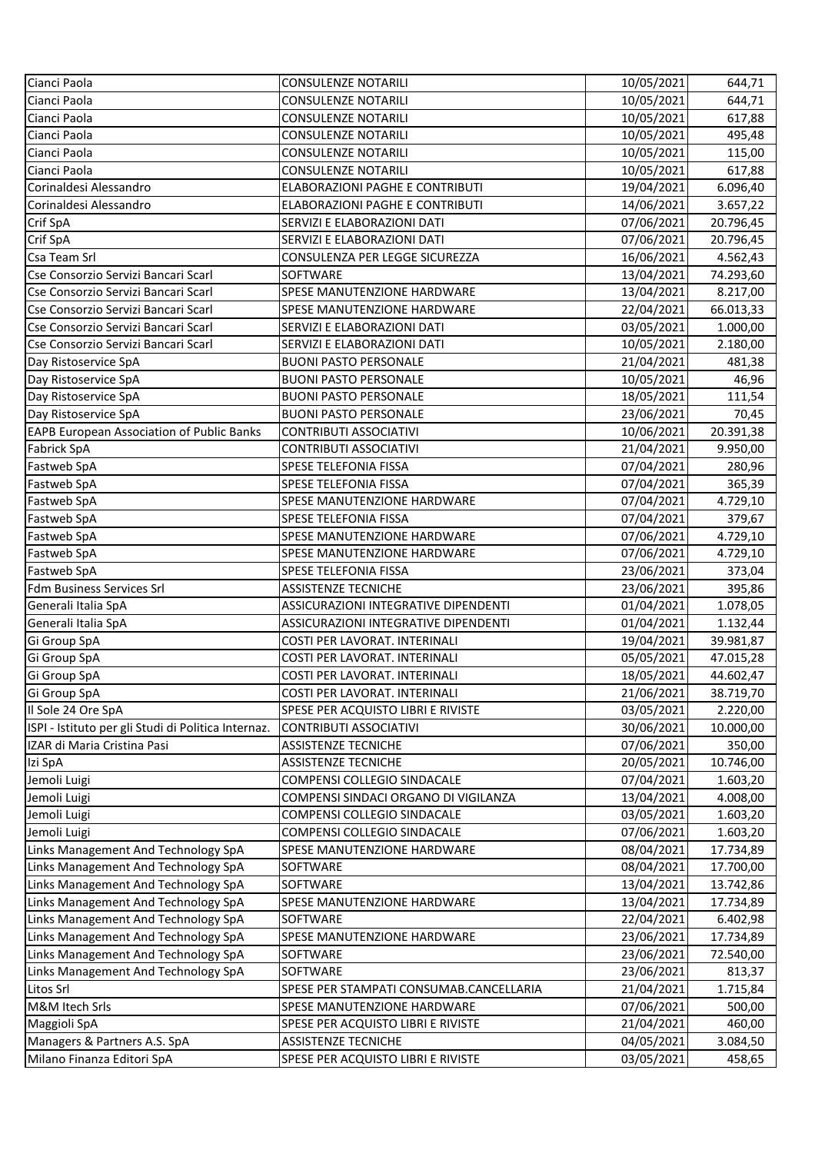| Cianci Paola                                                               | <b>CONSULENZE NOTARILI</b>              | 10/05/2021               | 644,71                 |
|----------------------------------------------------------------------------|-----------------------------------------|--------------------------|------------------------|
| Cianci Paola                                                               | <b>CONSULENZE NOTARILI</b>              | 10/05/2021               | 644,71                 |
| Cianci Paola                                                               | <b>CONSULENZE NOTARILI</b>              | 10/05/2021               | 617,88                 |
| Cianci Paola                                                               | <b>CONSULENZE NOTARILI</b>              | 10/05/2021               | 495,48                 |
| Cianci Paola                                                               | <b>CONSULENZE NOTARILI</b>              | 10/05/2021               | 115,00                 |
| Cianci Paola                                                               | <b>CONSULENZE NOTARILI</b>              | 10/05/2021               | 617,88                 |
| Corinaldesi Alessandro                                                     | <b>ELABORAZIONI PAGHE E CONTRIBUTI</b>  | 19/04/2021               | 6.096,40               |
| Corinaldesi Alessandro                                                     | ELABORAZIONI PAGHE E CONTRIBUTI         | 14/06/2021               | 3.657,22               |
| Crif SpA                                                                   | SERVIZI E ELABORAZIONI DATI             | 07/06/2021               | 20.796,45              |
| Crif SpA                                                                   | SERVIZI E ELABORAZIONI DATI             | 07/06/2021               | 20.796,45              |
| <b>Csa Team Srl</b>                                                        | CONSULENZA PER LEGGE SICUREZZA          | 16/06/2021               | 4.562,43               |
| Cse Consorzio Servizi Bancari Scarl                                        | SOFTWARE                                | 13/04/2021               | 74.293,60              |
| Cse Consorzio Servizi Bancari Scarl                                        | SPESE MANUTENZIONE HARDWARE             | 13/04/2021               | 8.217,00               |
| Cse Consorzio Servizi Bancari Scarl                                        | SPESE MANUTENZIONE HARDWARE             | 22/04/2021               | 66.013,33              |
| Cse Consorzio Servizi Bancari Scarl                                        | SERVIZI E ELABORAZIONI DATI             | 03/05/2021               | 1.000,00               |
| Cse Consorzio Servizi Bancari Scarl                                        | SERVIZI E ELABORAZIONI DATI             | 10/05/2021               | 2.180,00               |
| Day Ristoservice SpA                                                       | <b>BUONI PASTO PERSONALE</b>            | 21/04/2021               | 481,38                 |
| Day Ristoservice SpA                                                       | <b>BUONI PASTO PERSONALE</b>            | 10/05/2021               | 46,96                  |
| Day Ristoservice SpA                                                       | <b>BUONI PASTO PERSONALE</b>            | 18/05/2021               | 111,54                 |
| Day Ristoservice SpA                                                       | <b>BUONI PASTO PERSONALE</b>            | 23/06/2021               | 70,45                  |
| <b>EAPB European Association of Public Banks</b>                           | <b>CONTRIBUTI ASSOCIATIVI</b>           | 10/06/2021               | 20.391,38              |
| <b>Fabrick SpA</b>                                                         | <b>CONTRIBUTI ASSOCIATIVI</b>           | 21/04/2021               | 9.950,00               |
| Fastweb SpA                                                                | SPESE TELEFONIA FISSA                   | 07/04/2021               | 280,96                 |
| Fastweb SpA                                                                | SPESE TELEFONIA FISSA                   | 07/04/2021               | 365,39                 |
| Fastweb SpA                                                                | SPESE MANUTENZIONE HARDWARE             | 07/04/2021               | 4.729,10               |
| Fastweb SpA                                                                | <b>SPESE TELEFONIA FISSA</b>            | 07/04/2021               | 379,67                 |
| Fastweb SpA                                                                | <b>SPESE MANUTENZIONE HARDWARE</b>      | 07/06/2021               | 4.729,10               |
| Fastweb SpA                                                                | SPESE MANUTENZIONE HARDWARE             | 07/06/2021               | 4.729,10               |
| Fastweb SpA                                                                | <b>SPESE TELEFONIA FISSA</b>            | 23/06/2021               | 373,04                 |
| <b>Fdm Business Services Srl</b>                                           | <b>ASSISTENZE TECNICHE</b>              | 23/06/2021               | 395,86                 |
| Generali Italia SpA                                                        | ASSICURAZIONI INTEGRATIVE DIPENDENTI    | 01/04/2021               | 1.078,05               |
| Generali Italia SpA                                                        | ASSICURAZIONI INTEGRATIVE DIPENDENTI    | 01/04/2021               | 1.132,44               |
| Gi Group SpA                                                               | COSTI PER LAVORAT. INTERINALI           | 19/04/2021               | 39.981,87              |
| Gi Group SpA                                                               | COSTI PER LAVORAT. INTERINALI           | 05/05/2021               | 47.015,28              |
| Gi Group SpA                                                               | COSTI PER LAVORAT. INTERINALI           | 18/05/2021               | 44.602,47              |
| Gi Group SpA                                                               | COSTI PER LAVORAT. INTERINALI           | 21/06/2021               | 38.719,70              |
| Il Sole 24 Ore SpA                                                         | SPESE PER ACQUISTO LIBRI E RIVISTE      | 03/05/2021               | 2.220,00               |
| ISPI - Istituto per gli Studi di Politica Internaz.                        | <b>CONTRIBUTI ASSOCIATIVI</b>           | 30/06/2021               | 10.000,00              |
| IZAR di Maria Cristina Pasi                                                | <b>ASSISTENZE TECNICHE</b>              | 07/06/2021               | 350,00                 |
| Izi SpA                                                                    | <b>ASSISTENZE TECNICHE</b>              | 20/05/2021               | 10.746,00              |
| Jemoli Luigi                                                               | COMPENSI COLLEGIO SINDACALE             | 07/04/2021               | 1.603,20               |
| Jemoli Luigi                                                               | COMPENSI SINDACI ORGANO DI VIGILANZA    | 13/04/2021               | 4.008,00               |
| Jemoli Luigi                                                               | COMPENSI COLLEGIO SINDACALE             | 03/05/2021               | 1.603,20               |
| Jemoli Luigi                                                               | COMPENSI COLLEGIO SINDACALE             | 07/06/2021               | 1.603,20               |
| Links Management And Technology SpA<br>Links Management And Technology SpA | SPESE MANUTENZIONE HARDWARE<br>SOFTWARE | 08/04/2021<br>08/04/2021 | 17.734,89<br>17.700,00 |
| Links Management And Technology SpA                                        | SOFTWARE                                | 13/04/2021               | 13.742,86              |
| Links Management And Technology SpA                                        | <b>SPESE MANUTENZIONE HARDWARE</b>      | 13/04/2021               | 17.734,89              |
| Links Management And Technology SpA                                        | <b>SOFTWARE</b>                         | 22/04/2021               | 6.402,98               |
| Links Management And Technology SpA                                        | SPESE MANUTENZIONE HARDWARE             | 23/06/2021               | 17.734,89              |
| Links Management And Technology SpA                                        | SOFTWARE                                | 23/06/2021               | 72.540,00              |
| Links Management And Technology SpA                                        | SOFTWARE                                | 23/06/2021               | 813,37                 |
| Litos Srl                                                                  | SPESE PER STAMPATI CONSUMAB.CANCELLARIA | 21/04/2021               | 1.715,84               |
| M&M Itech Srls                                                             | <b>SPESE MANUTENZIONE HARDWARE</b>      | 07/06/2021               | 500,00                 |
| Maggioli SpA                                                               | SPESE PER ACQUISTO LIBRI E RIVISTE      | 21/04/2021               | 460,00                 |
| Managers & Partners A.S. SpA                                               | <b>ASSISTENZE TECNICHE</b>              | 04/05/2021               | 3.084,50               |
| Milano Finanza Editori SpA                                                 | SPESE PER ACQUISTO LIBRI E RIVISTE      | 03/05/2021               | 458,65                 |